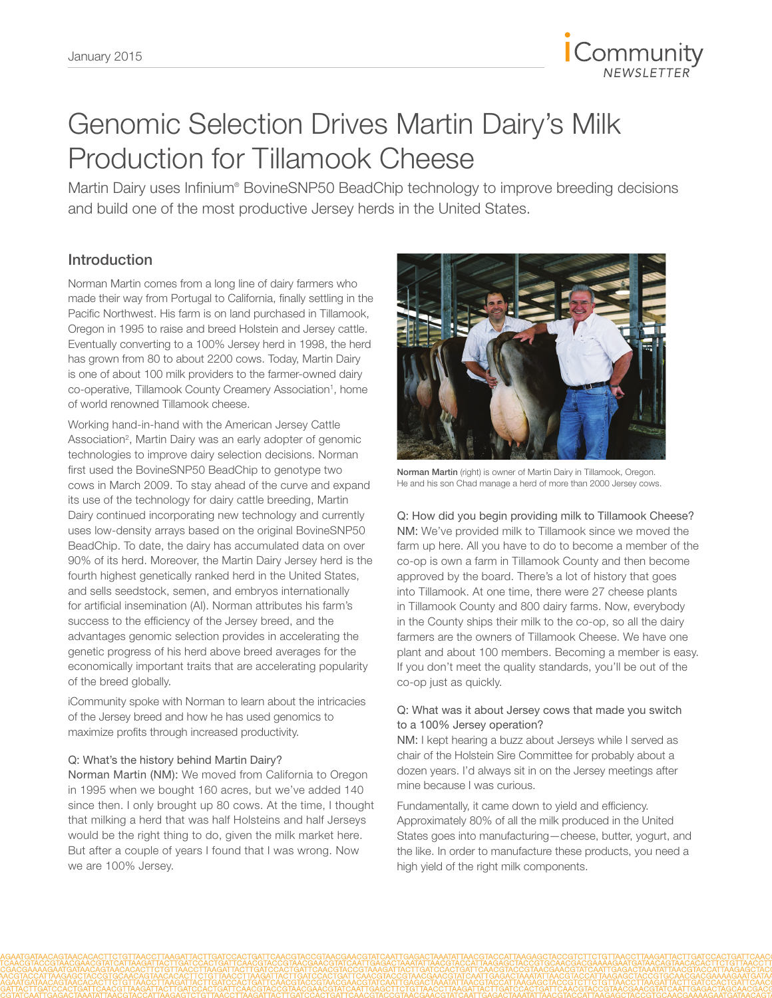

# Genomic Selection Drives Martin Dairy's Milk Production for Tillamook Cheese

Martin Dairy uses Infinium® BovineSNP50 BeadChip technology to improve breeding decisions and build one of the most productive Jersey herds in the United States.

# Introduction

Norman Martin comes from a long line of dairy farmers who made their way from Portugal to California, finally settling in the Pacific Northwest. His farm is on land purchased in Tillamook, Oregon in 1995 to raise and breed Holstein and Jersey cattle. Eventually converting to a 100% Jersey herd in 1998, the herd has grown from 80 to about 2200 cows. Today, Martin Dairy is one of about 100 milk providers to the farmer-owned dairy co-operative, Tillamook County Creamery Association<sup>1</sup>, home of world renowned Tillamook cheese.

Working hand-in-hand with the American Jersey Cattle Association<sup>2</sup>, Martin Dairy was an early adopter of genomic technologies to improve dairy selection decisions. Norman first used the BovineSNP50 BeadChip to genotype two cows in March 2009. To stay ahead of the curve and expand its use of the technology for dairy cattle breeding, Martin Dairy continued incorporating new technology and currently uses low-density arrays based on the original BovineSNP50 BeadChip. To date, the dairy has accumulated data on over 90% of its herd. Moreover, the Martin Dairy Jersey herd is the fourth highest genetically ranked herd in the United States, and sells seedstock, semen, and embryos internationally for artificial insemination (AI). Norman attributes his farm's success to the efficiency of the Jersey breed, and the advantages genomic selection provides in accelerating the genetic progress of his herd above breed averages for the economically important traits that are accelerating popularity of the breed globally.

iCommunity spoke with Norman to learn about the intricacies of the Jersey breed and how he has used genomics to maximize profits through increased productivity.

# Q: What's the history behind Martin Dairy?

Norman Martin (NM): We moved from California to Oregon in 1995 when we bought 160 acres, but we've added 140 since then. I only brought up 80 cows. At the time, I thought that milking a herd that was half Holsteins and half Jerseys would be the right thing to do, given the milk market here. But after a couple of years I found that I was wrong. Now we are 100% Jersey.



Norman Martin (right) is owner of Martin Dairy in Tillamook, Oregon. He and his son Chad manage a herd of more than 2000 Jersey cows.

Q: How did you begin providing milk to Tillamook Cheese? NM: We've provided milk to Tillamook since we moved the farm up here. All you have to do to become a member of the co-op is own a farm in Tillamook County and then become approved by the board. There's a lot of history that goes into Tillamook. At one time, there were 27 cheese plants in Tillamook County and 800 dairy farms. Now, everybody in the County ships their milk to the co-op, so all the dairy farmers are the owners of Tillamook Cheese. We have one plant and about 100 members. Becoming a member is easy. If you don't meet the quality standards, you'll be out of the co-op just as quickly.

# Q: What was it about Jersey cows that made you switch to a 100% Jersey operation?

NM: I kept hearing a buzz about Jerseys while I served as chair of the Holstein Sire Committee for probably about a dozen years. I'd always sit in on the Jersey meetings after mine because I was curious.

Fundamentally, it came down to yield and efficiency. Approximately 80% of all the milk produced in the United States goes into manufacturing—cheese, butter, yogurt, and the like. In order to manufacture these products, you need a high yield of the right milk components.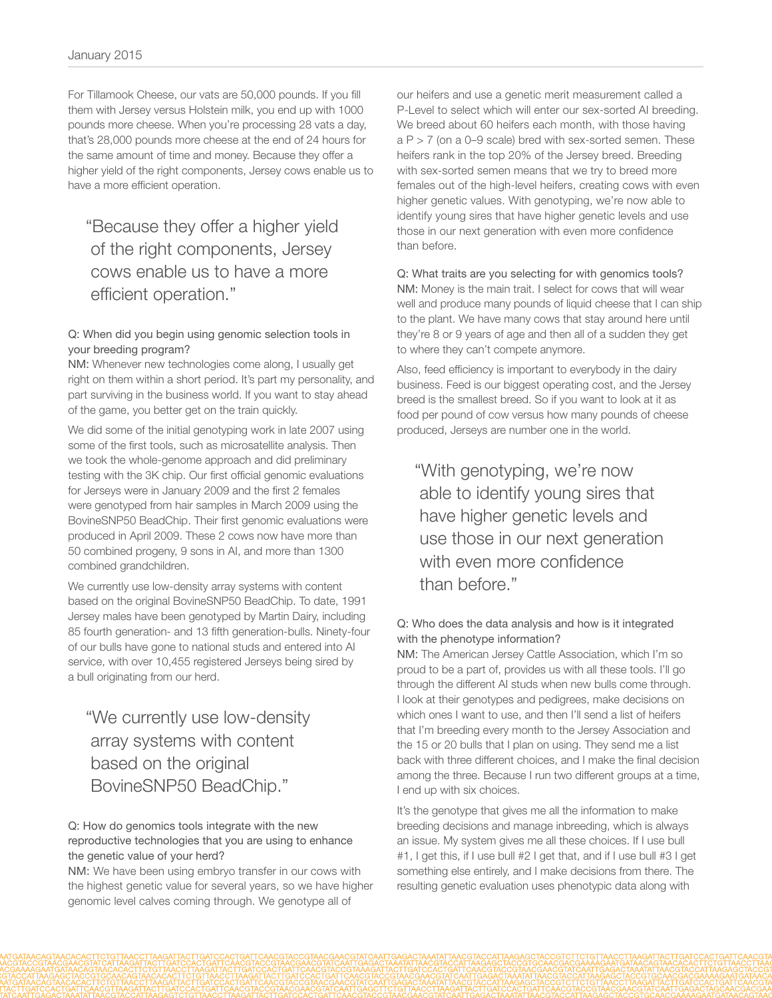For Tillamook Cheese, our vats are 50,000 pounds. If you fill them with Jersey versus Holstein milk, you end up with 1000 pounds more cheese. When you're processing 28 vats a day, that's 28,000 pounds more cheese at the end of 24 hours for the same amount of time and money. Because they offer a higher yield of the right components, Jersey cows enable us to have a more efficient operation.

"Because they offer a higher yield of the right components, Jersey cows enable us to have a more efficient operation."

### Q: When did you begin using genomic selection tools in your breeding program?

NM: Whenever new technologies come along, I usually get right on them within a short period. It's part my personality, and part surviving in the business world. If you want to stay ahead of the game, you better get on the train quickly.

We did some of the initial genotyping work in late 2007 using some of the first tools, such as microsatellite analysis. Then we took the whole-genome approach and did preliminary testing with the 3K chip. Our first official genomic evaluations for Jerseys were in January 2009 and the first 2 females were genotyped from hair samples in March 2009 using the BovineSNP50 BeadChip. Their first genomic evaluations were produced in April 2009. These 2 cows now have more than 50 combined progeny, 9 sons in AI, and more than 1300 combined grandchildren.

We currently use low-density array systems with content based on the original BovineSNP50 BeadChip. To date, 1991 Jersey males have been genotyped by Martin Dairy, including 85 fourth generation- and 13 fifth generation-bulls. Ninety-four of our bulls have gone to national studs and entered into AI service, with over 10,455 registered Jerseys being sired by a bull originating from our herd.

"We currently use low-density array systems with content based on the original BovineSNP50 BeadChip."

# Q: How do genomics tools integrate with the new reproductive technologies that you are using to enhance the genetic value of your herd?

NM: We have been using embryo transfer in our cows with the highest genetic value for several years, so we have higher genomic level calves coming through. We genotype all of

our heifers and use a genetic merit measurement called a P-Level to select which will enter our sex-sorted AI breeding. We breed about 60 heifers each month, with those having  $a P > 7$  (on a 0–9 scale) bred with sex-sorted semen. These heifers rank in the top 20% of the Jersey breed. Breeding with sex-sorted semen means that we try to breed more females out of the high-level heifers, creating cows with even higher genetic values. With genotyping, we're now able to identify young sires that have higher genetic levels and use those in our next generation with even more confidence than before.

# Q: What traits are you selecting for with genomics tools? NM: Money is the main trait. I select for cows that will wear well and produce many pounds of liquid cheese that I can ship to the plant. We have many cows that stay around here until they're 8 or 9 years of age and then all of a sudden they get to where they can't compete anymore.

Also, feed efficiency is important to everybody in the dairy business. Feed is our biggest operating cost, and the Jersey breed is the smallest breed. So if you want to look at it as food per pound of cow versus how many pounds of cheese produced, Jerseys are number one in the world.

"With genotyping, we're now able to identify young sires that have higher genetic levels and use those in our next generation with even more confidence than before."

# Q: Who does the data analysis and how is it integrated with the phenotype information?

NM: The American Jersey Cattle Association, which I'm so proud to be a part of, provides us with all these tools. I'll go through the different AI studs when new bulls come through. I look at their genotypes and pedigrees, make decisions on which ones I want to use, and then I'll send a list of heifers that I'm breeding every month to the Jersey Association and the 15 or 20 bulls that I plan on using. They send me a list back with three different choices, and I make the final decision among the three. Because I run two different groups at a time, I end up with six choices.

It's the genotype that gives me all the information to make breeding decisions and manage inbreeding, which is always an issue. My system gives me all these choices. If I use bull #1, I get this, if I use bull #2 I get that, and if I use bull #3 I get something else entirely, and I make decisions from there. The resulting genetic evaluation uses phenotypic data along with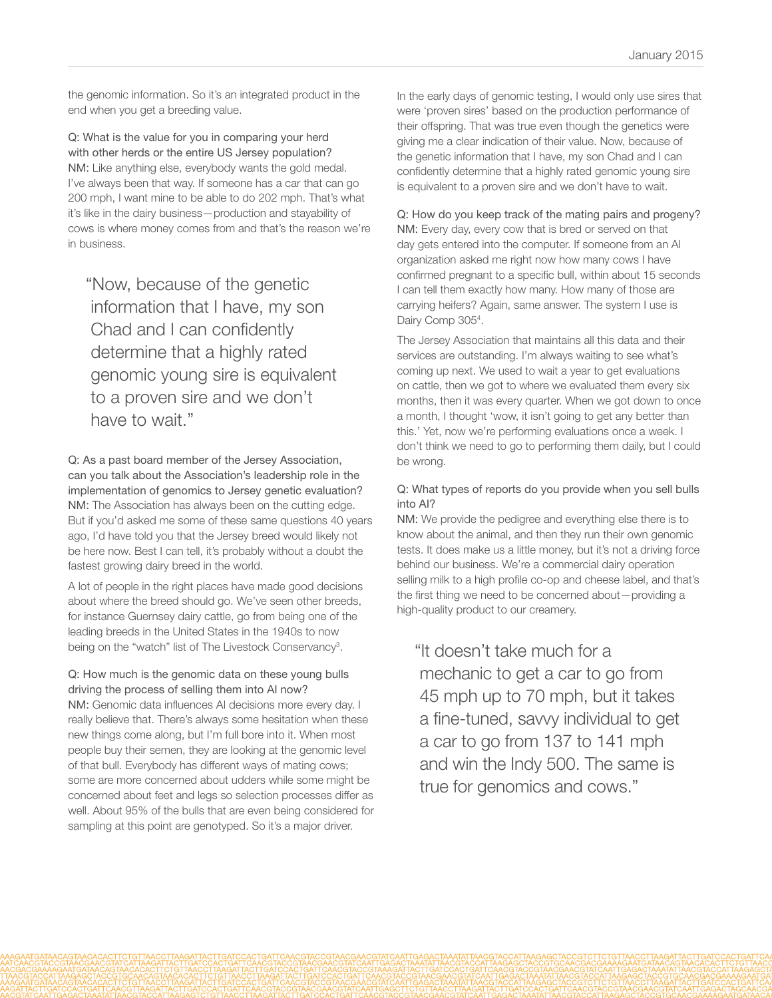the genomic information. So it's an integrated product in the end when you get a breeding value.

Q: What is the value for you in comparing your herd with other herds or the entire US Jersey population? NM: Like anything else, everybody wants the gold medal. I've always been that way. If someone has a car that can go 200 mph, I want mine to be able to do 202 mph. That's what it's like in the dairy business—production and stayability of cows is where money comes from and that's the reason we're in business.

"Now, because of the genetic information that I have, my son Chad and I can confidently determine that a highly rated genomic young sire is equivalent to a proven sire and we don't have to wait."

Q: As a past board member of the Jersey Association, can you talk about the Association's leadership role in the implementation of genomics to Jersey genetic evaluation? NM: The Association has always been on the cutting edge. But if you'd asked me some of these same questions 40 years ago, I'd have told you that the Jersey breed would likely not be here now. Best I can tell, it's probably without a doubt the fastest growing dairy breed in the world.

A lot of people in the right places have made good decisions about where the breed should go. We've seen other breeds, for instance Guernsey dairy cattle, go from being one of the leading breeds in the United States in the 1940s to now being on the "watch" list of The Livestock Conservancy<sup>3</sup>.

# Q: How much is the genomic data on these young bulls driving the process of selling them into AI now?

NM: Genomic data influences AI decisions more every day. I really believe that. There's always some hesitation when these new things come along, but I'm full bore into it. When most people buy their semen, they are looking at the genomic level of that bull. Everybody has different ways of mating cows; some are more concerned about udders while some might be concerned about feet and legs so selection processes differ as well. About 95% of the bulls that are even being considered for sampling at this point are genotyped. So it's a major driver.

In the early days of genomic testing, I would only use sires that were 'proven sires' based on the production performance of their offspring. That was true even though the genetics were giving me a clear indication of their value. Now, because of the genetic information that I have, my son Chad and I can confidently determine that a highly rated genomic young sire is equivalent to a proven sire and we don't have to wait.

# Q: How do you keep track of the mating pairs and progeny?

NM: Every day, every cow that is bred or served on that day gets entered into the computer. If someone from an AI organization asked me right now how many cows I have confirmed pregnant to a specific bull, within about 15 seconds I can tell them exactly how many. How many of those are carrying heifers? Again, same answer. The system I use is Dairy Comp 305<sup>4</sup>.

The Jersey Association that maintains all this data and their services are outstanding. I'm always waiting to see what's coming up next. We used to wait a year to get evaluations on cattle, then we got to where we evaluated them every six months, then it was every quarter. When we got down to once a month, I thought 'wow, it isn't going to get any better than this.' Yet, now we're performing evaluations once a week. I don't think we need to go to performing them daily, but I could be wrong.

# Q: What types of reports do you provide when you sell bulls into AI?

NM: We provide the pedigree and everything else there is to know about the animal, and then they run their own genomic tests. It does make us a little money, but it's not a driving force behind our business. We're a commercial dairy operation selling milk to a high profile co-op and cheese label, and that's the first thing we need to be concerned about—providing a high-quality product to our creamery.

"It doesn't take much for a mechanic to get a car to go from 45 mph up to 70 mph, but it takes a fine-tuned, savvy individual to get a car to go from 137 to 141 mph and win the Indy 500. The same is true for genomics and cows."